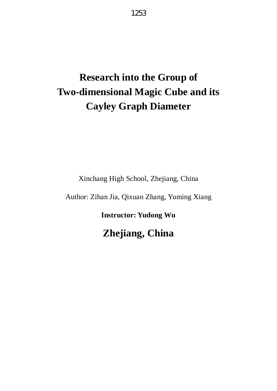1253

# **Research into the Group of Two-dimensional Magic Cube and its Cayley Graph Diameter**

Xinchang High School, Zhejiang, China

Author: Zihan Jia, Qixuan Zhang, Yuming Xiang

**Instructor: Yudong Wu**

**Zhejiang, China**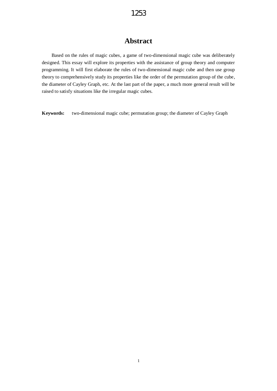## **Abstract**

Based on the rules of magic cubes, a game of two-dimensional magic cube was deliberately designed. This essay will explore its properties with the assistance of group theory and computer programming. It will first elaborate the rules of two-dimensional magic cube and then use group theory to comprehensively study its properties like the order of the permutation group of the cube, the diameter of Cayley Graph, etc. At the last part of the paper, a much more general result will be raised to satisfy situations like the irregular magic cubes.

**Keywords:** two-dimensional magic cube; permutation group; the diameter of Cayley Graph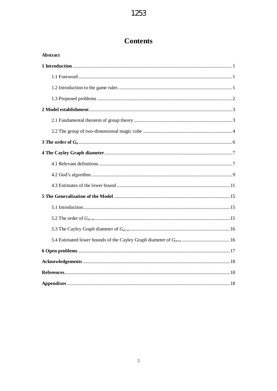# **Contents**

| <b>Abstract</b> |
|-----------------|
|                 |
|                 |
|                 |
|                 |
|                 |
|                 |
|                 |
|                 |
|                 |
|                 |
|                 |
|                 |
|                 |
|                 |
|                 |
|                 |
|                 |
|                 |
|                 |
|                 |
|                 |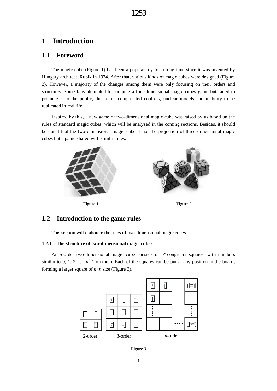## **1 Introduction**

#### **1.1 Foreword**

The magic cube (Figure 1) has been a popular toy for a long time since it was invented by Hungary architect, Rubik in 1974. After that, various kinds of magic cubes were designed (Figure 2). However, a majority of the changes among them were only focusing on their orders and structures. Some fans attempted to compute a four-dimensional magic cubes game but failed to promote it to the public, due to its complicated controls, unclear models and inability to be replicated in real life.

Inspired by this, a new game of two-dimensional magic cube was raised by us based on the rules of standard magic cubes, which will be analyzed in the coming sections. Besides, it should be noted that the two-dimensional magic cube is not the projection of three-dimensional magic cubes but a game shared with similar rules.



**Figure 1 Figure 2** 

#### **1.2 Introduction to the game rules**

This section will elaborate the rules of two-dimensional magic cubes.

#### **1.2.1 The structure of two-dimensional magic cubes**

An *n*-order two-dimensional magic cube consists of  $n^2$  congruent squares, with numbers similar to 0, 1, 2, ...,  $n^2$ -1 on them. Each of the squares can be put at any position in the board, forming a larger square of  $n \times n$  size (Figure 3).



**Figure 3**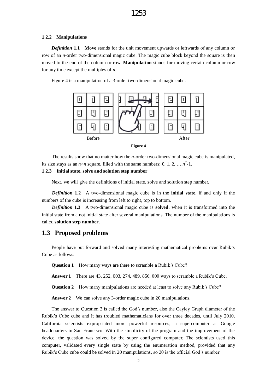#### **1.2.2 Manipulations**

*Definition* **1.1 Move** stands for the unit movement upwards or leftwards of any column or row of an *n*-order two-dimensional magic cube. The magic cube block beyond the square is then moved to the end of the column or row. **Manipulation** stands for moving certain column or row for any time except the multiples of *n.* 

Figure 4 is a manipulation of a 3-order two-dimensional magic cube.



| ш<br>н<br>ı<br>ı |  |
|------------------|--|
|------------------|--|

The results show that no matter how the *n*-order two-dimensional magic cube is manipulated, its size stays as an  $n \times n$  square, filled with the same numbers: 0, 1, 2, …, $n^2$ -1.

#### **1.2.3 Initial state, solve and solution step number**

Next, we will give the definitions of initial state, solve and solution step number.

*Definition* **1.2** A two-dimensional magic cube is in the **initial state**, if and only if the numbers of the cube is increasing from left to right, top to bottom.

*Definition* **1.3** A two-dimensional magic cube is **solved**, when it is transformed into the initial state from a not initial state after several manipulations. The number of the manipulations is called **solution step number**.

#### **1.3 Proposed problems**

People have put forward and solved many interesting mathematical problems over Rubik's Cube as follows:

**Question 1** How many ways are there to scramble a Rubik's Cube?

**Answer 1** There are 43, 252, 003, 274, 489, 856, 000 ways to scramble a Rubik's Cube.

**Question 2** How many manipulations are needed at least to solve any Rubik's Cube?

**Answer 2** We can solve any 3-order magic cube in 20 manipulations.

The answer to Question 2 is called the God's number, also the Cayley Graph diameter of the Rubik's Cube cube and it has troubled mathematicians for over three decades, until July 2010. California scientists expropriated more powerful resources, a supercomputer at Google headquarters in San Francisco. With the simplicity of the program and the improvement of the device, the question was solved by the super configured computer. The scientists used this computer, validated every single state by using the enumeration method, provided that any Rubik's Cube cube could be solved in 20 manipulations, so 20 is the official God's number.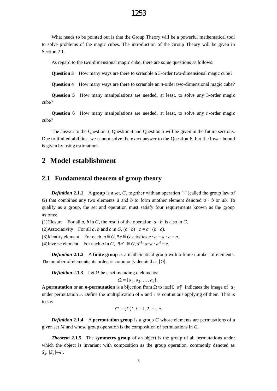#### 1253

What needs to be pointed out is that the Group Theory will be a powerful mathematical tool to solve problems of the magic cubes. The introduction of the Group Theory will be given in Section 2.1.

As regard to the two-dimensional magic cube, there are some questions as follows:

**Question 3** How many ways are there to scramble a 3-order two-dimensional magic cube?

**Question 4** How many ways are there to scramble an *n*-order two-dimensional magic cube?

**Question 5** How many manipulations are needed, at least, to solve any 3-order magic cube?

**Question 6** How many manipulations are needed, at least, to solve any *n*-order magic cube?

The answer to the Question 3, Question 4 and Question 5 will be given in the future sections. Due to limited abilities, we cannot solve the exact answer to the Question 6, but the lower bound is given by using estimations.

#### **2 Model establishment**

#### **2.1 Fundamental theorem of group theory**

*Definition* 2.1.1 A group is a set, *G*, together with an operation "∙" (called the group law of *G*) that combines any two elements *a* and *b* to form another element denoted *a* ∙ *b* or *ab*. To qualify as a group, the set and operation must satisfy four requirements known as the group axioms:

(1)Closure For all *a*, *b* in *G*, the result of the operation,  $a \cdot b$ , is also in *G*.

(2)Associativity For all *a*, *b* and *c* in *G*,  $(a \cdot b) \cdot c = a \cdot (b \cdot c)$ .

(3)Identity element For each  $a \in G$ ,  $\exists e \in G$  satisfies  $e \cdot a = a \cdot e = a$ .

(4) Inverse element For each *a* in *G*,  $\exists a^{-1} \in G$ ,  $a^{-1} \cdot a = a \cdot a^{-1} = e$ .

*Definition* **2.1.2** A **finite group** is a mathematical group with a finite number of elements. The number of elements, its order, is commonly denoted as |*G*|.

*Definition* 2.1.3 Let  $\Omega$  be a set including *n* elements:

$$
\Omega = {\alpha_1, \alpha_2, \ldots, \alpha_n}.
$$

A **permutation** or an *n***-permutation** is a bijection from  $\Omega$  to itself.  $\alpha_i^{\sigma}$  indicates the image of  $\alpha_i$ under permutation  $\sigma$ . Define the multiplication of  $\sigma$  and  $\tau$  as continuous applying of them. That is to say:

$$
i^{\sigma \tau} = (i^{\sigma})^{\tau}, i = 1, 2, \cdots, n.
$$

*Definition* **2.1.4** A **permutation group** is a group *G* whose elements are permutations of a given set *M* and whose group operation is the composition of permutations in *G*.

*Theorem* **2.1.5** The **symmetry group** of an object is the group of all permutations under which the object is invariant with composition as the group operation, commonly denoted as  $S_n$ .  $|S_n|=n!$ .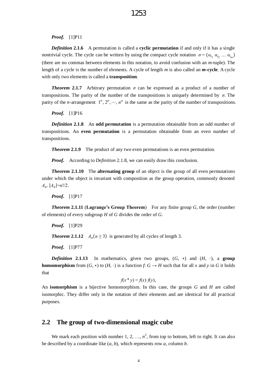*Proof.* [1]P11

*Definition* 2.1.6 A permutation is called a **cyclic permutation** if and only if it has a single nontrivial cycle. The cycle can be written by using the compact cycle notation  $\sigma = (\alpha_{i_1} \alpha_{i_2} \dots \alpha_{i_m})$ (there are no commas between elements in this notation, to avoid confusion with an *m*-tuple). The length of a cycle is the number of elements. A cycle of length *m* is also called an *m***-cycle**. A cycle with only two elements is called a **transposition**.

*Theorem* 2.1.7 Arbitrary permutation  $\sigma$  can be expressed as a product of a number of transpositions. The parity of the number of the transpositions is uniquely determined by  $\sigma$ . The parity of the *n*-arrangement  $1^{\sigma}, 2^{\sigma}, \dots, n^{\sigma}$  is the same as the parity of the number of transpositions.

*Proof.*[1]P16

*Definition* **2.1.8** An **odd permutation** is a permutation obtainable from an odd number of transpositions. An **even permutation** is a permutation obtainable from an even number of transpositions.

**Theorem 2.1.9** The product of any two even permutations is an even permutation.

*Proof.* According to *Definition* 2.1.8, we can easily draw this conclusion.

*Theorem* **2.1.10** The **alternating group** of an object is the group of all even permutations under which the object is invariant with composition as the group operation, commonly denoted  $A_n$ .  $|A_n|=n!/2$ .

*Proof.* [1]P17

*Theorem* **2.1.11** (**Lagrange's Group Theorem**) For any finite group *G*, the order (number of elements) of every subgroup *H* of *G* divides the order of *G*.

*Proof.* [1]P29

*Theorem* 2.1.12 *A<sub>n</sub>*( $n \ge 3$ ) is generated by all cycles of length 3.

*Proof.* [1]P77

*Definition* 2.1.13 In mathematics, given two groups,  $(G, *)$  and  $(H, )$ , a group **homomorphism** from  $(G, *)$  to  $(H, ')$  is a function *f*:  $G \rightarrow H$  such that for all *x* and *y* in *G* it holds that

$$
f(x * y) = f(x) \cdot f(y),
$$

An **isomorphism** is a bijective homomorphism. In this case, the groups *G* and *H* are called isomorphic. They differ only in the notation of their elements and are identical for all practical purposes.

#### **2.2 The group of two-dimensional magic cube**

We mark each position with number  $1, 2, ..., n^2$ , from top to bottom, left to right. It can also be described by a coordinate like (*a*, *b*), which represents row *a*, column *b*.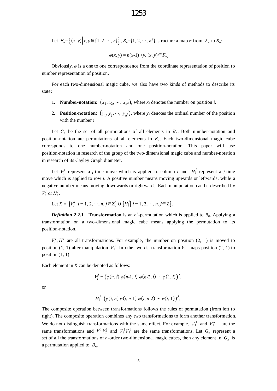Let 
$$
F_n = \{(x, y) | x, y \in \{1, 2, \dots, n\} \}
$$
,  $B_n = \{1, 2, \dots, n^2\}$ , structure a map  $\varphi$  from  $F_n$  to  $B_n$ :

$$
\varphi(x, y) = n(x-1) + y, (x, y) \in F_n
$$

Obviously,  $\varphi$  is a one to one correspondence from the coordinate representation of position to number representation of position.

For each two-dimensional magic cube, we also have two kinds of methods to describe its state:

- 1. **Number-notation:**  $(x_1, x_2, \dots, x_{n^2})$ , where  $x_i$  denotes the number on position *i*.
- 2. **Position-notation:**  $(y_1, y_2, \dots, y_n^2)$ , where  $y_i$  denotes the ordinal number of the position with the number *i*.

Let  $C_n$  be the set of all permutations of all elements in  $B_n$ . Both number-notation and position-notation are permutations of all elements in  $B<sub>n</sub>$ . Each two-dimensional magic cube corresponds to one number-notation and one position-notation. This paper will use position-notation in research of the group of the two-dimensional magic cube and number-notation in research of its Cayley Graph diameter.

Let  $V_i^j$  represent a *j*-time move which is applied to column *i* and  $H_i^j$  represent a *j*-time move which is applied to row *i*. A positive number means moving upwards or leftwards, while a negative number means moving downwards or rightwards. Each manipulation can be described by  $V_i^j$  or  $H_i^j$ .

Let 
$$
X = \{V_i^j | i = 1, 2, \dots, n, j \in \mathbb{Z}\} \cup \{H_i^j | i = 1, 2, \dots, n, j \in \mathbb{Z}\}.
$$

*Definition* 2.2.1 Transformation is an  $n^2$ -permutation which is applied to  $B_n$ . Applying a transformation on a two-dimensional magic cube means applying the permutation to its position-notation.

 $V_i^j$ ,  $H_i^j$  are all transformations. For example, the number on position (2, 1) is moved to position (1, 1) after manipulation  $V_1^1$ . In other words, transformation  $V_1^1$  maps position (2, 1) to position  $(1, 1)$ .

Each element in *X* can be denoted as follows:

$$
V_i^j = (\varphi(n, i) \varphi(n-1, i) \varphi(n-2, i) \cdots \varphi(1, i))^{j},
$$

or

$$
H_i^j = (\varphi(i, n) \varphi(i, n-1) \varphi(i, n-2) \cdots \varphi(i, 1))^{j},
$$

The composite operation between transformations follows the rules of permutation (from left to right). The composite operation combines any two transformations to form another transformation. We do not distinguish transformations with the same effect. For example,  $V_1^1$  and  $V_1^{n+1}$  are the same transformations and  $V_1^1 V_2^1$  and  $V_2^1 V_1^1$  are the same transformations. Let  $G_n$  represent a set of all the transformations of *n*-order two-dimensional magic cubes, then any element in  $G_n$  is a permutation applied to *B<sup>n</sup>* .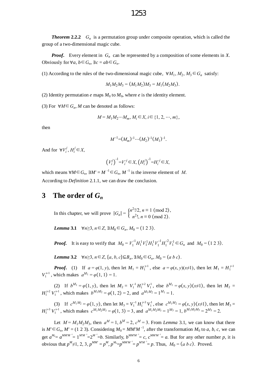*Theorem* **2.2.2** *G<sup>n</sup>* is a permutation group under composite operation, which is called the group of a two-dimensional magic cube.

*Proof***.** Every element in *G<sup>n</sup>* can be represented by a composition of some elements in *X*. Obviously for  $\forall a, b \in G_n$ ,  $\exists c = ab \in G_n$ .

(1) According to the rules of the two-dimensional magic cube,  $\forall M_1, M_2, M_3 \in G_n$  satisfy:

$$
M_1 M_2 M_3 = (M_1 M_2) M_3 = M_1 (M_2 M_3).
$$

(2) Identity permutation  $e$  maps  $M_0$  to  $M_0$ , where  $e$  is the identity element.

(3) For  $\forall M \in G_n$ , *M* can be denoted as follows:

$$
M = M_1 M_2 \cdots M_m, M_i \in X, i \in \{1, 2, \cdots, m\},
$$

then

$$
M^{-1}=(M_m)^{-1}\cdots (M_2)^{-1}(M_1)^{-1}.
$$

And for  $\forall V_i^j, H_i^j \in X$ ,

$$
(V_i^j)^{-1} = V_i^{j} \in X, (H_i^j)^{-1} = H_i^{j} \in X,
$$

which means  $\forall M \in G_n$ ,  $\exists M' = M^{-1} \in G_n$ ,  $M^{-1}$  is the inverse element of *M*. According to *Definition* 2.1.1, we can draw the conclusion.

#### **3 The order of** *G<sup>n</sup>*

In this chapter, we will prove  $|G_n| = \begin{cases} n^2!/2, & n \equiv 1 \pmod{2}, \\ n^2!/2, & n = 0 \pmod{2} \end{cases}$  $n^2$ !, *n* ≡ 0 (mod 2).

*Lemma* 3.1  $\forall n \ge 3, n \in \mathbb{Z}, \exists M_0 \in G_n, M_0 = (1 2 3).$ 

*Proof.* It is easy to verify that  $M_0 = V_1^{-1} H_1^1 V_1^1 H_1^1 V_1^{-1} H_1^{-2} V_1^1 \in G_n$  and  $M_0 = (1\ 2\ 3)$ .

*Lemma* **3.2**  $\forall n \ge 3, n \in \mathbb{Z}, \{a, b, c\} \subseteq B_n, \exists M_0 \in G_n, M_0 = (a \ b \ c).$ 

*Proof.* (1) If  $a = \varphi(1, y)$ , then let  $M_1 = H_1^{y-1}$ , else  $a = \varphi(x, y)(x \ne 1)$ , then let  $M_1 = H_1^{y-1}$ *V*<sub>1</sub><sup>*x*-1</sup>, which makes  $a^{M_1} = \varphi(1, 1) = 1$ .

(2) If  $b^{M_1} = \varphi(1, y)$ , then let  $M_2 = V_1^{-1} H_1^{y \cdot 2} V_1^1$ , else  $b^{M_1} = \varphi(x, y)(x \neq 1)$ , then let  $M_2 =$  $H_1^{y_2}$   $V_1^{x_1}$ , which makes  $b^{M_1M_2} = \varphi(1, 2) = 2$ , and  $a^{M_1M_2} = 1^{M_1} = 1$ .

(3) If  $c^{M_1M_2} = \varphi(1, y)$ , then let  $M_3 = V_1^{-1} H_1^{y-3} V_1^1$ , else  $c^{M_1M_2} = \varphi(x, y)(x \neq 1)$ , then let  $M_3 =$  $H_1^{y-3} V_1^{x-1}$ , which makes  $c^{M_1 M_2 M_3} = \varphi(1, 3) = 3$ , and  $a^{M_1 M_2 M_3} = 1^{M_3} = 1$ ,  $b^{M_1 M_2 M_3} = 2^{M_3} = 2$ .

Let  $M = M_1 M_2 M_3$ , then  $a^M = 1$ ,  $b^M = 2$ ,  $c^M = 3$ . From *Lemma* 3.1, we can know that there is  $M' \in G_n$ ,  $M' = (1\ 2\ 3)$ . Considering  $M_0 = MM'M^{-1}$ , after the transformation  $M_0$  to *a*, *b*, *c*, we can get  $a^{M_0} = a^{M M' M^{-1}} = 1^{M' M^{-1}} = 2^{M^{-1}} = b$ . Similarly,  $b^{M M' M^{-1}} = c$ ,  $c^{M M' M^{-1}} = a$ . But for any other number p, it is obvious that  $p^M \neq 1, 2, 3, p^{MM'} = p^M$ ,  $p^{M_0} = p^{MM'M^{-1}} = p^{MM''} = p$ . Thus,  $M_0 = (a \ b \ c)$ . Proved.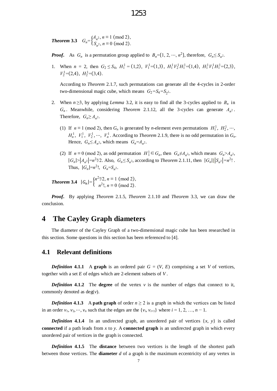*Theorem* 3.3  $G_n = \begin{cases} A_n^2, n \equiv 1 \pmod{2}, \\ S_n, n \equiv 0 \pmod{2} \end{cases}$ *S*<sub>*n*</sub><sup>2</sup>, *n* ≡ 0 (mod 2).

- *Proof.* As *G<sub>n</sub>* is a permutation group applied to  $B_n = \{1, 2, \dots, n^2\}$ , therefore,  $G_n \leq S_n$ .
- 1. When  $n = 2$ , then  $G_2 \leq S_4$ ,  $H_1^1 = (1,2)$ ,  $V_1^1 = (1,3)$ ,  $H_1^1 V_2^1 H_1^1 = (1,4)$ ,  $H_1^1 V_1^1 H_1^1 = (2,3)$ ,  $V_2^1$  = (2,4),  $H_2^1$  = (3,4).

According to *Theorem* 2.1.7, such permutations can generate all the 4-cycles in 2-order two-dimensional magic cube, which means  $G_2 = S_4 = S_2$ .

- 2. When  $n \geq 3$ , by applying *Lemma* 3.2, it is easy to find all the 3-cycles applied to  $B_n$  in  $G_n$ . Meanwhile, considering *Theorem* 2.1.12, all the 3-cycles can generate  $A_{n^2}$ . Therefore,  $G_n \geq A_n^2$ .
	- (1) If  $n \equiv 1 \pmod{2}$ , then  $G_n$  is generated by *n*-element even permutations  $H_1^1$ ,  $H_2^1$ , ...,  $H_n^1$ ,  $V_1^1$ ,  $V_2^1$ ,  $\cdots$ ,  $V_n^1$ . According to *Theorem* 2.1.9, there is no odd permutation in  $G_n$ . Hence,  $G_n \leq A_{n^2}$ , which means  $G_n = A_{n^2}$ .
	- (2) If  $n \equiv 0 \pmod{2}$ , as odd permutation  $H_1^1 \subseteq G_n$ , then  $G_n \neq A_{n^2}$ , which means  $G_n > A_{n^2}$ ,  $|G_n| > |A_{n^2}| = n^2!/2$ . Also,  $G_n \leq S_{n^2}$ , according to *Theorem* 2.1.11, then  $|G_n| \leq |G_n| = n^2!$ . Thus,  $|G_n|=n^2!$ ,  $G_n=S_{n^2}$ .

*Theorem* 3.4  $|G_n| = \begin{cases} n^2!/2, n \equiv 1 \pmod{2}, \\ n^2!/2, n = 0 \pmod{2}. \end{cases}$  $n^2!$ ,  $n \equiv 0 \pmod{2}$ .

*Proof***.** By applying *Theorem* 2.1.5, *Theorem* 2.1.10 and *Theorem* 3.3, we can draw the conclusion.

#### **4 The Cayley Graph diameters**

The diameter of the Cayley Graph of a two-dimensional magic cube has been researched in this section. Some questions in this section has been referenced to [4].

#### **4.1 Relevant definitions**

*Definition* **4.1.1** A **graph** is an ordered pair  $G = (V, E)$  comprising a set V of vertices, together with a set *E* of edges which are 2-element subsets of *V* .

*Definition* **4.1.2** The **degree** of the vertex  $v$  is the number of edges that connect to it, commonly denoted as  $deg(v)$ .

*Definition* 4.1.3 A path graph of order  $n \ge 2$  is a graph in which the vertices can be listed in an order  $v_1, v_2, \dots, v_n$  such that the edges are the  $\{v_i, v_{i+1}\}$  where  $i = 1, 2, \dots, n - 1$ .

*Definition* **4.1.4** In an undirected graph, an unordered pair of vertices  $\{x, y\}$  is called **connected** if a path leads from *x* to *y*. A **connected graph** is an undirected graph in which every unordered pair of vertices in the graph is connected.

*Definition* **4.1.5** The **distance** between two vertices is the length of the shortest path between those vertices. The **diameter** *d* of a graph is the maximum eccentricity of any vertex in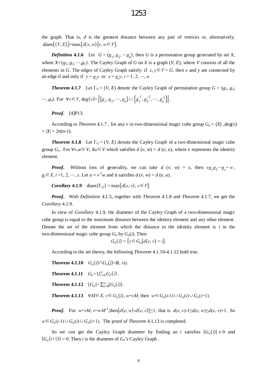the graph. That is, *d* is the greatest distance between any pair of vertices or, alternatively, diam $((V, E)) = \max\{d(v, w)|v, w \in V\}.$ 

*Definition* 4.1.6 Let  $G = \langle g_1, g_2, \dots, g_n \rangle$ , then *G* is a permutation group generated by set *X*, where  $X = \{g_1, g_2, \dots, g_n\}$ . The Cayley Graph of *G* on *X* is a graph  $(V, E)$ , where *V* consists of all the elements in *G*. The edges of Cayley Graph satisfy: if  $x, y \in V = G$ , then *x* and *y* are connected by an edge if and only if  $y = g_i x$  or  $x = g_i y, i = 1, 2, ..., n$ .

*Theorem* **4.1.7** Let  $\Gamma_G = (V, E)$  denote the Cayley Graph of permutation group  $G = (g_1, g_2, g_3)$ …, *g<sub>n</sub>*). For  $\forall v \in V$ , deg(*v*)=  $\{g_1, g_2, ..., g_n\} \cup \{g_1^0\}$  $\frac{1}{1}$ ,  $g_2$  $\left[\frac{1}{2},\cdots, g_n^{-1}\right]$ .

*Proof***.** [4]P13.

According to *Theorem* 4.1.7, for any *v* in two-dimensional magic cube group  $G_n = \langle X \rangle$ , deg(*v*)  $= |X| = 2n(n-1).$ 

*Theorem* **4.1.8** Let  $\Gamma$ <sub>*G*</sub> = (*V*, *E*) denote the Cayley Graph of a two-dimensional magic cube group  $G_n$ . For  $\forall v, w \in V$ ,  $\exists u \in V$  which satisfies  $d(v, w) = d(e, u)$ , where *e* represents the identity element.

*Proof.* Without loss of generality, we can take *d*  $(v, w) = x$ , then  $vg_1g_2 \cdots g_x = w$ ,  $g_i \in X$ ,  $i = 1, 2, \dots, x$ . Let  $u = v^{-1}w$  and it satisfies  $d(v, w) = d(e, u)$ .

*Corollary* **4.1.9**  $\dim(\Gamma_G) = \max\{d(e, v), v \in V\}.$ 

*Proof***.** With *Definition* 4.1.5, together with *Theorem* 4.1.8 and *Theorem* 4.1.7, we get the *Corollary* 4.1.9.

In view of *Corollary* 4.1.9, the diameter of the Cayley Graph of a two-dimensional magic cube group is equal to the maximum distance between the identity element and any other element. Denote the set of the element from which the distance to the identity element is *i* in the two-dimensional magic cube group  $G_n$  by  $G_n(i)$ . Then

$$
G_n(i) = \{v \in G_n | d(e, v) = i\}.
$$

According to the set theory, the following *Theorem* 4.1.10-4.1.12 hold true.

*<i>Theorem* **4.1.10**  $G_n(i) \cap G_n(j) = \emptyset$ , *i*≠*j*. *Theorem* **4.1.11**  $G_n = \bigcup_{i=0}^{\infty} G_n(i)$ . *Theorem* 4.1.12  $|G_n| = \sum_{i=0}^{\infty} |G_n(i)|$ . *<i>Theorem* **4.1.13**  $\forall M \in X, v \in G_n(i), w = vM$ , then  $w \in G_n(i-1) \cup G_n(i) \cup G_n(i+1)$ .

**Proof.** For  $w = vM$ ,  $v = wM^1$ , then  $|d(e, w) - d(e, v)| \le 1$ , that is  $d(e, v) - 1 \le d(e, w) \le d(e, v) + 1$ . So *w*∈*G*<sub>*n*</sub>(*i*-1)∪*G*<sub>*n*</sub>(*i*)∪*G*<sub>*n*</sub>(*i*+1). The proof of *Theorem* 4.1.13 is completed.

So we can get the Cayley Graph diameter by finding an *i* satisfies  $|G_n(i)| \neq 0$  and  $|G_n(i+1)| = 0$ . Then *i* is the diameter of  $G_n$ 's Cayley Graph.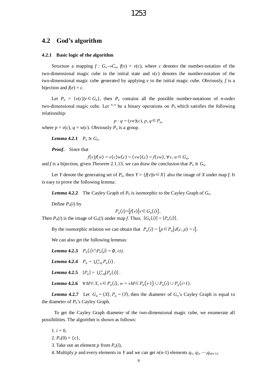#### **4.2 God's algorithm**

#### **4.2.1 Basic logic of the algorithm**

Structure a mapping  $f : G_n \to C_n$ ,  $f(v) = v(c)$ , where *c* denotes the number-notation of the two-dimensional magic cube in the initial state and  $v(c)$  denotes the number-notation of the two-dimensional magic cube generated by applying *v* to the initial magic cube. Obviously, *f* is a bijection and  $f(e) = c$ .

Let  $P_n = \{v(c) | v \in G_n\}$ , then  $P_n$  contains all the possible number-notations of *n*-order two-dimensional magic cube. Let "∙" be a binary operations on *Pn* which satisfies the following relationship:

 $p \cdot q = (yw)(c), p, q \in P_n$ where  $p = v(c)$ ,  $q = w(c)$ . Obviously  $P_n$  is a group.

*Lemma* 4.2.1  $P_n \cong G_n$ .

*Proof***.** Since that

*f*(*v*)*f*(*w*) = *v*(*c*)*w*(*c*) = (*vw*)(*c*) = *f*(*vw*), ∀*v*, *w*∈*G*<sub>*n*</sub>,

and *f* is a bijection, given *Theorem* 2.1.13, we can draw the conclusion that  $P_n \cong G_n$ .

Let *Y* denote the generating set of  $P_n$ , then  $Y = \{f(v)|v \in X\}$  also the image of *X* under map *f*. It is easy to prove the following lemma:

*Lemma* **4.2.2** The Cayley Graph of  $P_n$  is isomorphic to the Cayley Graph of  $G_n$ .

Define  $P_n(i)$  by

$$
P_n(i) = \{f(v) \mid v \in G_n(i)\},\
$$

Then  $P_n(i)$  is the image of  $G_n(i)$  under map *f*. Thus,  $|G_n(i)| = |P_n(i)|$ .

By the isomorphic relation we can obtain that  $P_n(i) = {p \in P_n | d(c, p) = i}.$ 

We can also get the following lemmas:

*Lemma* 4.2.3  $P_n(i) \cap P_n(j) = ∅, i \neq j$ . *Lemma* 4.2.4  $P_n = \bigcup_{i=0}^{\infty} P_n(i)$ . *Lemma* 4.2.5  $|P_n| = \bigcup_{i=0}^{\infty} |P_n(i)|$ . *Lemma* 4.2.6  $\forall M \in X, v \in P_n(i), w = vM \in P_n(i-1) \cup P_n(i) \cup P_n(i+1).$ 

*Lemma* **4.2.7** Let  $G_n = \langle X \rangle$ ,  $P_n = \langle Y \rangle$ , then the diameter of  $G_n$ 's Cayley Graph is equal to the diameter of *Pn*'s Cayley Graph.

To get the Cayley Graph diameter of the two-dimensional magic cube, we enumerate all possibilities. The algorithm is shown as follows:

1.  $i = 0$ ,

2.  $P_n(0) = \{c\},\$ 

- 3. Take out an element  $p$  from  $P_n(i)$ ,
- 4. Multiply *p* and every elements in *Y* and we can get  $n(n-1)$  elements  $q_1, q_2, \dots, q_{n(n-1)}$ .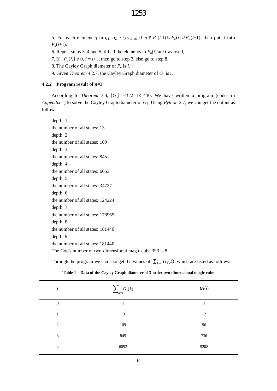#### 1253

5. For each element *q* in  $q_1, q_2, \dots, q_{n(n-1)}$ , if  $q \notin P_n(i-1) \cup P_n(i) \cup P_n(i+1)$ , then put it into *Pn*(*i*+1),

- 6. Repeat steps 3, 4 and 5, till all the elements in  $P_n(i)$  are traversed,
- 7. If  $|P_n(i)| \neq 0$ ,  $i = i+1$ , then go to step 3, else go to step 8,
- 8. The Cayley Graph diameter of *P<sup>n</sup>* is *i*.
- 9. Given *Theorem* 4.2.7, the Cayley Graph diameter of *G<sup>n</sup>* is *i*.

#### **4.2.2 Program result of**  $n=3$

According to *Theorem* 3.4,  $|G_3|=3^2$ ! /2=181440. We have written a program (codes in *Appendix* 1) to solve the Cayley Graph diameter of *G*3. Using *Python 2.7*, we can get the output as follows:

depth: 1 the number of all states: 13 depth: 2 the number of all states: 109 depth: 3 the number of all states: 845 depth: 4 the number of all states: 6053 depth: 5 the number of all states: 34727 depth: 6 the number of all states: 124224 depth: 7 the number of all states: 178965 depth: 8 the number of all states: 181440 depth: 9 the number of all states: 181440 The God's number of two-dimensional magic cube 3\*3 is 8.

Through the program we can also get the values of  $\sum_{k=0}^{i} G_3(k)$ , which are listed as follows:

| i                | $\sum_{k=0}^i G_3(k)$ | $G_3(i)$ |
|------------------|-----------------------|----------|
| $\boldsymbol{0}$ | 1                     | 1        |
| $\mathbf{1}$     | 13                    | 12       |
| 2                | 109                   | 96       |
| 3                | 845                   | 736      |
| $\overline{4}$   | 6053                  | 5208     |

**Table 1 Data of the Cayley Graph diameter of 3-order two-dimensional magic cube**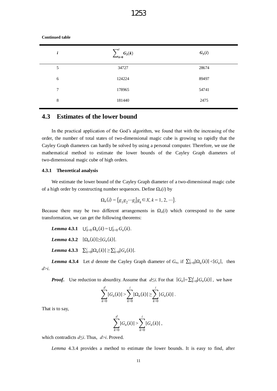| i | $\overline{\phantom{a}}^{i}$<br>$\angle_{k=0} G_3(k)$ | $G_3(i)$ |
|---|-------------------------------------------------------|----------|
| 5 | 34727                                                 | 28674    |
| 6 | 124224                                                | 89497    |
| 7 | 178965                                                | 54741    |
| 8 | 181440                                                | 2475     |

#### **Continued table**

#### **4.3 Estimates of the lower bound**

In the practical application of the God's algorithm, we found that with the increasing of the order, the number of total states of two-dimensional magic cube is growing so rapidly that the Cayley Graph diameters can hardly be solved by using a personal computer. Therefore, we use the mathematical method to estimate the lower bounds of the Cayley Graph diameters of two-dimensional magic cube of high orders.

#### **4.3.1 Theoretical analysis**

We estimate the lower bound of the Cayley Graph diameter of a two-dimensional magic cube of a high order by constructing number sequences. Define  $\Omega_n(i)$  by

$$
\Omega_n(i) = \{g_1 g_2 \cdots g_i | g_k \in X, k = 1, 2, \cdots \}.
$$

Because there may be two different arrangements in  $\Omega_n(i)$  which correspond to the same transformation, we can get the following theorems:

 $\mu_{k=0}^{i} \Omega_{n}(k) = \bigcup_{k=0}^{i} G_{n}(k)$ .

 *4.3.2*  $|\Omega_n(k)| \ge |G_n(k)|$ *.* 

 $\sum_{k=0}^{i} |\Omega_n(k)| \geq \sum_{k=0}^{i} |G_n(k)|$ .

*Lemma* **4.3.4** Let *d* denote the Cayley Graph diameter of  $G_n$ , if  $\sum_{k=0}^{i} |Q_n(k)| < |G_n|$ , then *d*>*i*.

*Proof.* Use reduction to absurdity. Assume that *d*≤*i*. For that  $|G_n| = \sum_{k=0}^d |G_n(k)|$ , we have

$$
\sum_{k=0}^d |G_n(k)| > \sum_{k=0}^i |\Omega_n(k)| \geq \sum_{k=0}^i |G_n(k)|.
$$

That is to say,

$$
\sum_{k=0}^d |G_n(k)| > \sum_{k=0}^i |G_n(k)|,
$$

which contradicts *d*≤*i*. Thus, *d*>*i*. Proved.

*Lemma* 4.3.4 provides a method to estimate the lower bounds. It is easy to find, after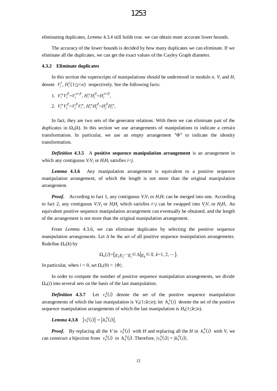eliminating duplicates, *Lemma* 4.3.4 still holds true. we can obtain more accurate lower bounds.

The accuracy of the lower bounds is decided by how many duplicates we can eliminate. If we eliminate all the duplicates, we can get the exact values of the Cayley Graph diameter.

#### **4.3.2 Eliminate duplicates**

In this section the superscripts of manipulations should be understood in modulo *n*.  $V_i$  and  $H_i$ denote  $V_i^j$ ,  $H_i^j(1 \le j \le n)$  respectively. See the following facts:

- 1.  $V_i^{\alpha} V_i^{\beta} = V_i^{\alpha+\beta}, H_i^{\alpha} H_i^{\beta} = H_i^{\alpha+\beta},$
- 2.  $V_i^{\alpha} V_j^{\beta} = V_j^{\beta} V_i^{\alpha}, H_i^{\alpha} H_j^{\beta} = H_j^{\beta} H_i^{\alpha},$

In fact, they are two sets of the generator relations. With them we can eliminate part of the duplicates in  $\Omega_n(k)$ . In this section we use arrangements of manipulations to indicate a certain transformation. In particular, we use an empty arrangement "Φ" to indicate the identity transformation.

*Definition* **4.3.5** A **positive sequence manipulation arrangement** is an arrangement in which any contiguous  $V_iV_i$  or  $H_iH_i$  satisfies  $i \leq j$ .

*Lemma* **4.3.6** Any manipulation arrangement is equivalent to a positive sequence manipulation arrangement, of which the length is not more than the original manipulation arrangement.

*Proof.* According to fact 1, any contiguous  $V_iV_i$  or  $H_iH_i$  can be merged into one. According to fact 2, any contiguous  $V_iV_j$  or  $H_iH_j$  which satisfies  $i>j$  can be swapped into  $V_jV_i$  or  $H_jH_i$ . An equivalent positive sequence manipulation arrangement can eventually be obtained, and the length of the arrangement is not more than the original manipulation arrangement.

From *Lemma* 4.3.6, we can eliminate duplicates by selecting the positive sequence manipulation arrangements. Let  $\Delta$  be the set of all positive sequence manipulation arrangements. Redefine  $\Omega_n(k)$  by

$$
\Omega_n(i) = \{g_1 g_2 \cdots g_i \in \Delta \mid g_k \in X, k=1, 2, \cdots \}.
$$

In particular, when  $i = 0$ , set  $\Omega_n(0) = {\Phi}$ .

In order to compute the number of positive sequence manipulation arrangements, we divide  $\Omega_n(i)$  into several sets on the basis of the last manipulation.

*Definition* **4.3.7** Let  $v_n^k(i)$  denote the set of the positive sequence manipulation arrangements of which the last manipulation is  $V_k(1 \leq k \leq n)$ ; let  $h_n^k(i)$  denote the set of the positive sequence manipulation arrangements of which the last manipulation is  $H_k(1 \leq k \leq n)$ .

**Lemma 4.3.8** 
$$
|v_n^k(i)| = |h_n^k(i)|
$$
.

*Proof.* By replacing all the *V* in  $v_n^k(i)$  with *H* and replacing all the *H* in  $h_n^k(i)$  with *V*, we can construct a bijection from  $v_n^k(i)$  to  $h_n^k(i)$ . Therefore,  $|v_n^k(i)| = |h_n^k(i)|$ .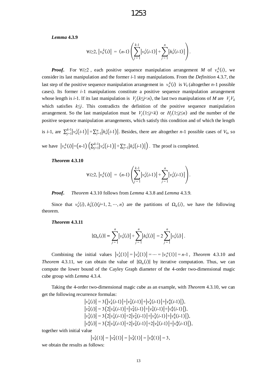*Lemma* **4.3.9**

$$
\forall i \geq 2, \, \left| \nu_n^k(i) \right| \, = \, (n-1) \left( \sum_{j=1}^{k-1} \left| \nu_n^j(i-1) \right| + \sum_{j=1}^n \left| h_n^j(i-1) \right| \right).
$$

*Proof.* For  $\forall i \geq 2$ , each positive sequence manipulation arrangement *M* of  $v_n^k(i)$ , we consider its last manipulation and the former *i*-1 step manipulations. From the *Definition* 4.3.7, the last step of the positive sequence manipulation arrangement in  $v_n^k(i)$  is  $V_k$  (altogether *n*-1 possible cases). Its former *i*-1 manipulations constitute a positive sequence manipulation arrangement whose length is *i*-1. If its last manipulation is  $V_j(k \leq j \leq n)$ , the last two manipulations of *M* are  $V_j V_k$ which satisfies *k*≤*j*. This contradicts the definition of the positive sequence manipulation arrangement. So the last manipulation must be  $V_j(1 \le j \le k)$  or  $H_j(1 \le j \le n)$  and the number of the positive sequence manipulation arrangements, which satisfy this condition and of which the length

is *i*-1, are  $\sum_{j=1}^{k-1} |v_n^j(i-1)| + \sum_{j=1}^n |h_n^j(i-1)|$ . Besides, there are altogether *n*-1 possible cases of  $V_k$ , so we have  $|v_n^k(i)| = (n-1) \left( \sum_{j=1}^{k-1} |v_n^j(i-1)| + \sum_{j=1}^n |h_n^j(i-1)| \right)$ . The proof is completed.

*Theorem* **4.3.10**

$$
\forall i \geq 2, \, \left| \nu_n^k(i) \right| \, = \, (n-1) \left( \sum_{j=1}^{k-1} \left| \nu_n^j(i-1) \right| + \sum_{j=1}^n \left| \nu_n^j(i-1) \right| \right).
$$

*Proof***.** *Theorem* 4.3.10 follows from *Lemma* 4.3.8 and *Lemma* 4.3.9.

Since that  $v_n^j(i)$ ,  $h_n^j(i)$  (*j*=1, 2, …, *n*) are the partitions of  $\Omega_n(i)$ , we have the following theorem.

*Theorem* **4.3.11**

$$
|\Omega_n(i)| = \sum_{j=1}^n \left| \nu_n^j(i) \right| + \sum_{j=1}^n \left| h_n^j(i) \right| = 2 \sum_{j=1}^n \left| \nu_n^j(i) \right|.
$$

Combining the initial values  $|v_n^1(1)| = |v_n^2(1)| = \dots = |v_n^n(1)| = n-1$ , *Theorem* 4.3.10 and *Theorem* 4.3.11, we can obtain the value of  $|\Omega_n(i)|$  by iterative computation. Thus, we can compute the lower bound of the Cayley Graph diameter of the 4-order two-dimensional magic cube group with *Lemma* 4.3.4.

Taking the 4-order two-dimensional magic cube as an example, with *Theorem* 4.3.10, we can get the following recurrence formulas:

$$
|v_4^1(i)| = 3(|v_4^1(i-1)|+|v_4^2(i-1)|+|v_4^3(i-1)|+|v_4^4(i-1)|),
$$
  
\n
$$
|v_4^2(i)| = 3(2|v_4^1(i-1)|+|v_4^2(i-1)|+|v_4^3(i-1)|+|v_4^4(i-1)|),
$$
  
\n
$$
|v_4^3(i)| = 3(2|v_4^1(i-1)|+2|v_4^2(i-1)|+|v_4^3(i-1)|+|v_4^4(i-1)|),
$$
  
\n
$$
|v_4^4(i)| = 3(2|v_4^1(i-1)|+2|v_4^2(i-1)|+2|v_4^3(i-1)|+|v_4^4(i-1)|),
$$

together with initial value

$$
|\nu_4^1(1)| = |\nu_4^2(1)| = |\nu_4^3(1)| = |\nu_4^4(1)| = 3,
$$

we obtain the results as follows: